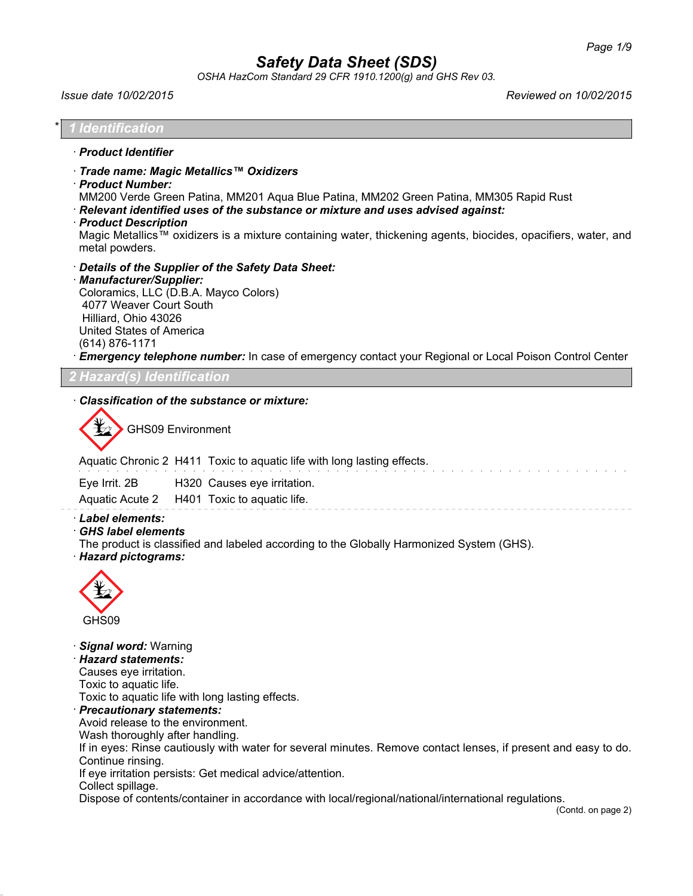*OSHA HazCom Standard 29 CFR 1910.1200(g) and GHS Rev 03.*

*Issue date 10/02/2015 Reviewed on 10/02/2015*

## \* *1 Identification* · *Product Identifier* · *Trade name: Magic Metallics™ Oxidizers* · *Product Number:* MM200 Verde Green Patina, MM201 Aqua Blue Patina, MM202 Green Patina, MM305 Rapid Rust · *Relevant identified uses of the substance or mixture and uses advised against:* · *Product Description* Magic Metallics™ oxidizers is a mixture containing water, thickening agents, biocides, opacifiers, water, and metal powders. · *Details of the Supplier of the Safety Data Sheet:* · *Manufacturer/Supplier:* Coloramics, LLC (D.B.A. Mayco Colors) 4077 Weaver Court South Hilliard, Ohio 43026 United States of America (614) 876-1171 **Emergency telephone number:** In case of emergency contact your Regional or Local Poison Control Center *2 Hazard(s) Identification*

#### · *Classification of the substance or mixture:*

GHS09 Environment

Aquatic Chronic 2 H411 Toxic to aquatic life with long lasting effects.

| Eye Irrit. 2B | H320 Causes eye irritation.                 |
|---------------|---------------------------------------------|
|               | Aquatic Acute 2 H401 Toxic to aquatic life. |

### · *Label elements:*

· *GHS label elements*

The product is classified and labeled according to the Globally Harmonized System (GHS).

· *Hazard pictograms:*



· *Signal word:* Warning

· *Hazard statements:*

Causes eye irritation.

Toxic to aquatic life.

Toxic to aquatic life with long lasting effects.

· *Precautionary statements:*

Avoid release to the environment.

Wash thoroughly after handling.

If in eyes: Rinse cautiously with water for several minutes. Remove contact lenses, if present and easy to do. Continue rinsing.

If eye irritation persists: Get medical advice/attention.

Collect spillage.

Dispose of contents/container in accordance with local/regional/national/international regulations.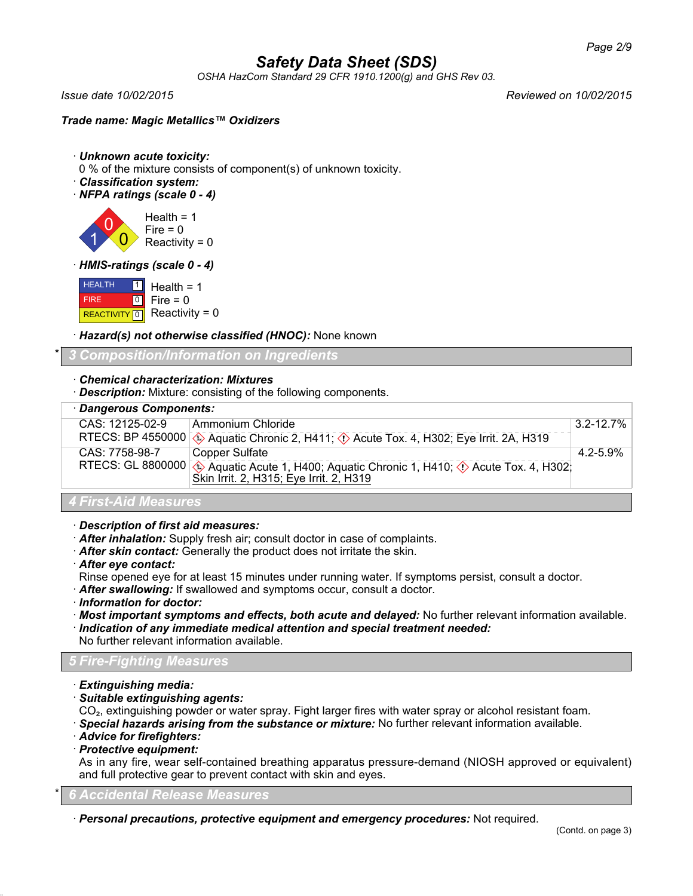*OSHA HazCom Standard 29 CFR 1910.1200(g) and GHS Rev 03.*

*Issue date 10/02/2015 Reviewed on 10/02/2015*

### *Trade name: Magic Metallics™ Oxidizers*

- · *Unknown acute toxicity:*
- 0 % of the mixture consists of component(s) of unknown toxicity.
- · *Classification system:*
- · *NFPA ratings (scale 0 4)*

1 0  $\overline{0}$ Health  $= 1$  $Fire = 0$  $Reactivity = 0$ 

#### · *HMIS-ratings (scale 0 - 4)*

| <b>HEALTH</b> | $\Box$ Health = 1           |
|---------------|-----------------------------|
| <b>FIRE</b>   | $ 0 $ Fire = 0              |
|               | REACTIVITY 0 Reactivity = 0 |

· *Hazard(s) not otherwise classified (HNOC):* None known

## \* *3 Composition/Information on Ingredients*

### · *Chemical characterization: Mixtures*

· *Description:* Mixture: consisting of the following components.

| · Dangerous Components: |                                                                                                                                                   |               |
|-------------------------|---------------------------------------------------------------------------------------------------------------------------------------------------|---------------|
| CAS: 12125-02-9         | Ammonium Chloride                                                                                                                                 | $3.2 - 12.7%$ |
|                         | RTECS: BP 4550000 $\circ$ Aquatic Chronic 2, H411; $\circ$ Acute Tox. 4, H302; Eye Irrit. 2A, H319                                                |               |
| CAS: 7758-98-7          | Copper Sulfate                                                                                                                                    | 4.2-5.9%      |
|                         | RTECS: GL 8800000 $\otimes$ Aquatic Acute 1, H400; Aquatic Chronic 1, H410; $\otimes$ Acute Tox. 4, H302; Skin Irrit. 2, H315; Eye Irrit. 2, H319 |               |
|                         |                                                                                                                                                   |               |
| A Flood Ald Moore, were |                                                                                                                                                   |               |

# *4 First-Aid Measures*

- · *Description of first aid measures:*
- · *After inhalation:* Supply fresh air; consult doctor in case of complaints.
- · *After skin contact:* Generally the product does not irritate the skin.
- · *After eye contact:*
- Rinse opened eye for at least 15 minutes under running water. If symptoms persist, consult a doctor.
- · *After swallowing:* If swallowed and symptoms occur, consult a doctor.
- · *Information for doctor:*
- · *Most important symptoms and effects, both acute and delayed:* No further relevant information available.
- · *Indication of any immediate medical attention and special treatment needed:*
- No further relevant information available.

## *5 Fire-Fighting Measures*

- · *Extinguishing media:*
- · *Suitable extinguishing agents:*

CO₂, extinguishing powder or water spray. Fight larger fires with water spray or alcohol resistant foam.

- · *Special hazards arising from the substance or mixture:* No further relevant information available.
- · *Advice for firefighters:*
- · *Protective equipment:*

As in any fire, wear self-contained breathing apparatus pressure-demand (NIOSH approved or equivalent) and full protective gear to prevent contact with skin and eyes.

#### \* *6 Accidental Release Measures*

· *Personal precautions, protective equipment and emergency procedures:* Not required.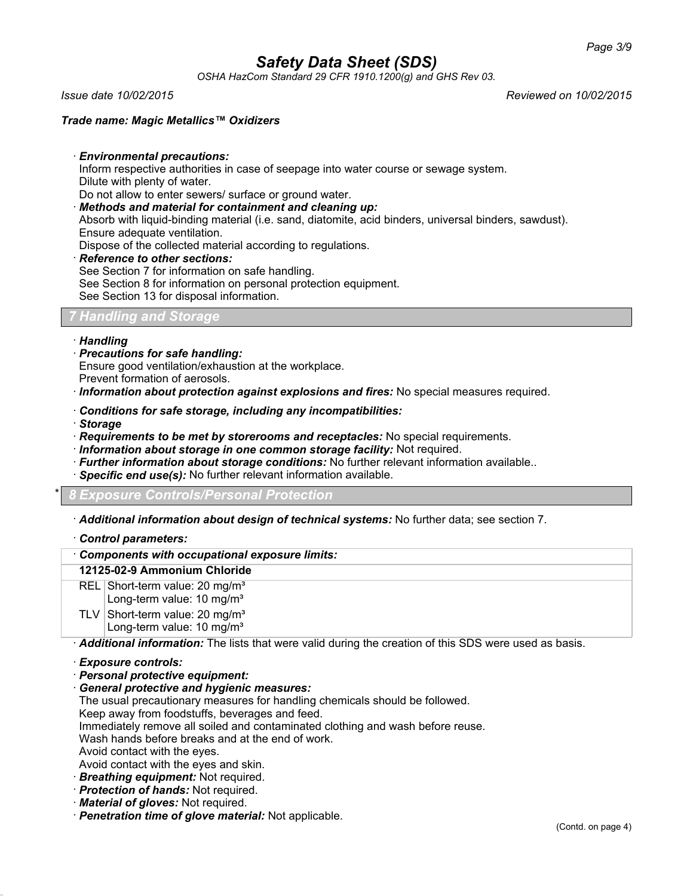*OSHA HazCom Standard 29 CFR 1910.1200(g) and GHS Rev 03.*

*Issue date 10/02/2015 Reviewed on 10/02/2015*

#### *Trade name: Magic Metallics™ Oxidizers*

· *Environmental precautions:*

Inform respective authorities in case of seepage into water course or sewage system. Dilute with plenty of water.

Do not allow to enter sewers/ surface or ground water.

· *Methods and material for containment and cleaning up:*

Absorb with liquid-binding material (i.e. sand, diatomite, acid binders, universal binders, sawdust). Ensure adequate ventilation.

Dispose of the collected material according to regulations.

#### · *Reference to other sections:*

See Section 7 for information on safe handling.

See Section 8 for information on personal protection equipment.

See Section 13 for disposal information.

### *7 Handling and Storage*

#### · *Handling*

- · *Precautions for safe handling:*
- Ensure good ventilation/exhaustion at the workplace.
- Prevent formation of aerosols.

· *Information about protection against explosions and fires:* No special measures required.

- · *Conditions for safe storage, including any incompatibilities:*
- · *Storage*
- · *Requirements to be met by storerooms and receptacles:* No special requirements.
- · *Information about storage in one common storage facility:* Not required.
- · *Further information about storage conditions:* No further relevant information available..
- **Specific end use(s):** No further relevant information available.

\* *8 Exposure Controls/Personal Protection*

· *Additional information about design of technical systems:* No further data; see section 7.

- · *Control parameters:*
- · *Components with occupational exposure limits:*

#### **12125-02-9 Ammonium Chloride**

- REL Short-term value: 20 mg/m<sup>3</sup>
- Long-term value: 10 mg/m<sup>3</sup>
- TLV Short-term value:  $20 \text{ mg/m}^3$ Long-term value: 10 mg/m<sup>3</sup>

· *Additional information:* The lists that were valid during the creation of this SDS were used as basis.

#### · *Exposure controls:*

- · *Personal protective equipment:*
- · *General protective and hygienic measures:*

The usual precautionary measures for handling chemicals should be followed.

Keep away from foodstuffs, beverages and feed.

Immediately remove all soiled and contaminated clothing and wash before reuse.

Wash hands before breaks and at the end of work.

Avoid contact with the eyes.

- Avoid contact with the eyes and skin.
- · *Breathing equipment:* Not required.
- · *Protection of hands:* Not required.
- · *Material of gloves:* Not required.
- · *Penetration time of glove material:* Not applicable.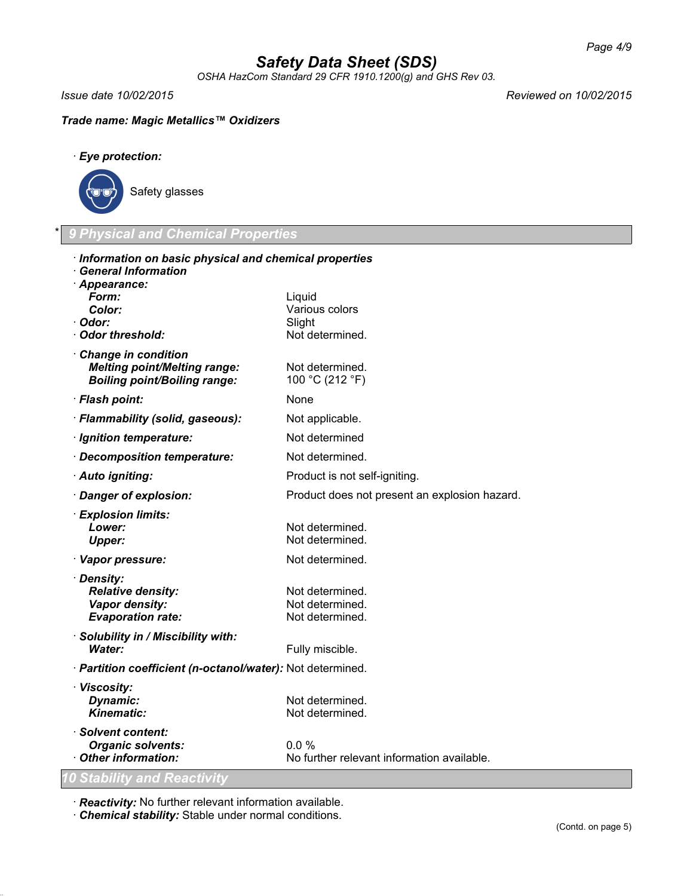*OSHA HazCom Standard 29 CFR 1910.1200(g) and GHS Rev 03.*

*Issue date 10/02/2015 Reviewed on 10/02/2015*

## *Trade name: Magic Metallics™ Oxidizers*

· *Eye protection:*



\* *9 Physical and Chemical Properties*

| · Information on basic physical and chemical properties<br>· General Information |                                               |
|----------------------------------------------------------------------------------|-----------------------------------------------|
| · Appearance:                                                                    |                                               |
| Form:                                                                            | Liquid                                        |
| Color:                                                                           | Various colors                                |
| · Odor:                                                                          | Slight                                        |
| · Odor threshold:                                                                | Not determined.                               |
| Change in condition<br><b>Melting point/Melting range:</b>                       | Not determined.                               |
| <b>Boiling point/Boiling range:</b>                                              | 100 °C (212 °F)                               |
| · Flash point:                                                                   | None                                          |
| · Flammability (solid, gaseous):                                                 | Not applicable.                               |
| · Ignition temperature:                                                          | Not determined                                |
| Decomposition temperature:                                                       | Not determined.                               |
| · Auto igniting:                                                                 | Product is not self-igniting.                 |
| · Danger of explosion:                                                           | Product does not present an explosion hazard. |
| · Explosion limits:                                                              |                                               |
| Lower:                                                                           | Not determined.                               |
| <b>Upper:</b>                                                                    | Not determined.                               |
| · Vapor pressure:                                                                | Not determined.                               |
| · Density:                                                                       |                                               |
| <b>Relative density:</b>                                                         | Not determined.                               |
| Vapor density:<br><b>Evaporation rate:</b>                                       | Not determined.<br>Not determined.            |
|                                                                                  |                                               |
| · Solubility in / Miscibility with:<br><b>Water:</b>                             | Fully miscible.                               |
| · Partition coefficient (n-octanol/water): Not determined.                       |                                               |
| · Viscosity:                                                                     |                                               |
| Dynamic:                                                                         | Not determined.                               |
| <b>Kinematic:</b>                                                                | Not determined.                               |
| · Solvent content:                                                               |                                               |
| <b>Organic solvents:</b>                                                         | 0.0%                                          |
| Other information:                                                               | No further relevant information available.    |
| 10 Stability and Reactivity                                                      |                                               |

· *Reactivity:* No further relevant information available.

· *Chemical stability:* Stable under normal conditions.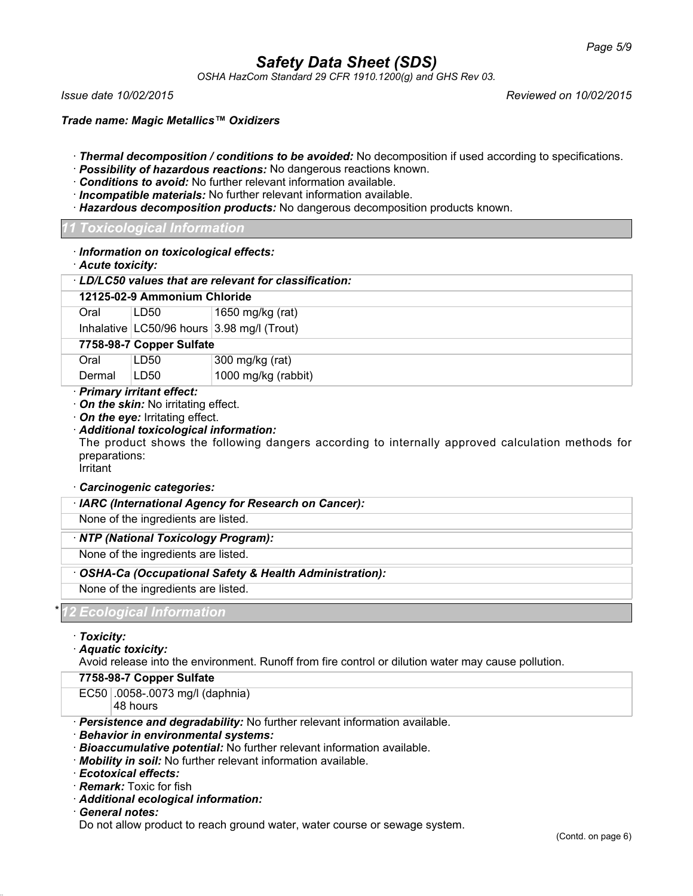*OSHA HazCom Standard 29 CFR 1910.1200(g) and GHS Rev 03.*

*Issue date 10/02/2015 Reviewed on 10/02/2015*

*Trade name: Magic Metallics™ Oxidizers*

- · *Thermal decomposition / conditions to be avoided:* No decomposition if used according to specifications.
- · *Possibility of hazardous reactions:* No dangerous reactions known.
- · *Conditions to avoid:* No further relevant information available.
- · *Incompatible materials:* No further relevant information available.
- · *Hazardous decomposition products:* No dangerous decomposition products known.

#### *11 Toxicological Information*

| Acute toxicity:                                      | · Information on toxicological effects:                                                                         |                                                                                                     |  |  |
|------------------------------------------------------|-----------------------------------------------------------------------------------------------------------------|-----------------------------------------------------------------------------------------------------|--|--|
| LD/LC50 values that are relevant for classification: |                                                                                                                 |                                                                                                     |  |  |
| 12125-02-9 Ammonium Chloride                         |                                                                                                                 |                                                                                                     |  |  |
| Oral                                                 | LD50                                                                                                            | 1650 mg/kg (rat)                                                                                    |  |  |
|                                                      |                                                                                                                 | Inhalative LC50/96 hours 3.98 mg/l (Trout)                                                          |  |  |
|                                                      | 7758-98-7 Copper Sulfate                                                                                        |                                                                                                     |  |  |
| Oral                                                 | LD50                                                                                                            | 300 mg/kg (rat)                                                                                     |  |  |
| Dermal                                               | LD <sub>50</sub>                                                                                                | 1000 mg/kg (rabbit)                                                                                 |  |  |
| preparations:<br>Irritant                            | On the skin: No irritating effect.<br>On the eye: Irritating effect.<br>· Additional toxicological information: | The product shows the following dangers according to internally approved calculation methods for    |  |  |
|                                                      | Carcinogenic categories:                                                                                        |                                                                                                     |  |  |
|                                                      |                                                                                                                 | · IARC (International Agency for Research on Cancer):                                               |  |  |
|                                                      | None of the ingredients are listed.                                                                             |                                                                                                     |  |  |
|                                                      | · NTP (National Toxicology Program):                                                                            |                                                                                                     |  |  |
|                                                      | None of the ingredients are listed.                                                                             |                                                                                                     |  |  |
|                                                      |                                                                                                                 | OSHA-Ca (Occupational Safety & Health Administration):                                              |  |  |
| None of the ingredients are listed.                  |                                                                                                                 |                                                                                                     |  |  |
|                                                      | 2 Ecological Information                                                                                        |                                                                                                     |  |  |
| · Toxicity:<br>Aquatic toxicity:                     |                                                                                                                 | Avoid release into the environment. Runoff from fire control or dilution water may cause pollution. |  |  |
| 7758-98-7 Copper Sulfate                             |                                                                                                                 |                                                                                                     |  |  |
|                                                      | EC50 .0058-.0073 mg/l (daphnia)                                                                                 |                                                                                                     |  |  |

48 hours

· *Persistence and degradability:* No further relevant information available.

- · *Behavior in environmental systems:*
- · *Bioaccumulative potential:* No further relevant information available.
- · *Mobility in soil:* No further relevant information available.
- · *Ecotoxical effects:*
- · *Remark:* Toxic for fish
- · *Additional ecological information:*
- · *General notes:*

Do not allow product to reach ground water, water course or sewage system.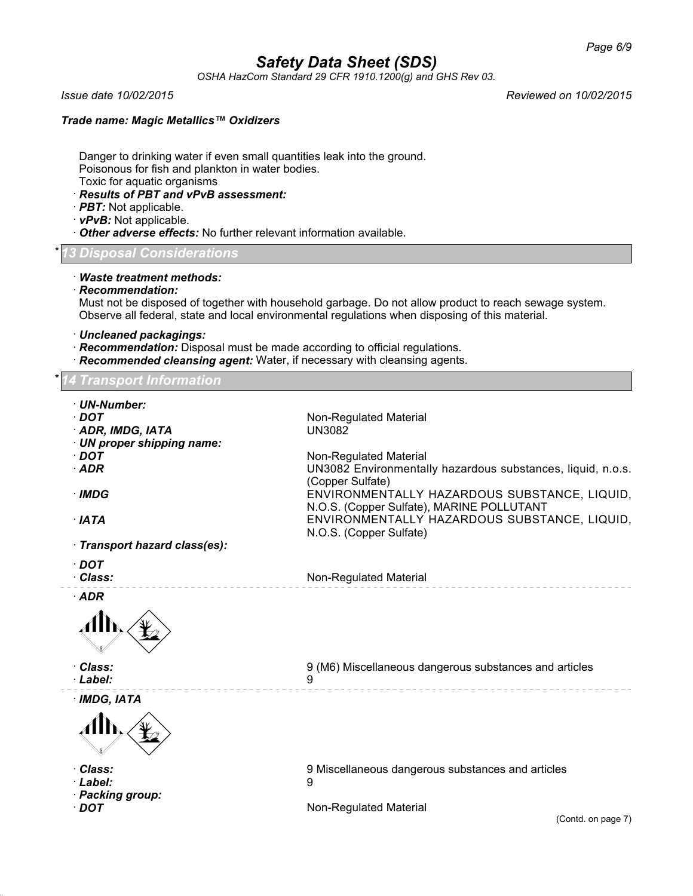*OSHA HazCom Standard 29 CFR 1910.1200(g) and GHS Rev 03.*

*Issue date 10/02/2015 Reviewed on 10/02/2015*

### *Trade name: Magic Metallics™ Oxidizers*

Danger to drinking water if even small quantities leak into the ground. Poisonous for fish and plankton in water bodies. Toxic for aquatic organisms

- · *Results of PBT and vPvB assessment:*
- · *PBT:* Not applicable.
- · *vPvB:* Not applicable.
- · *Other adverse effects:* No further relevant information available.

#### \* *13 Disposal Considerations*

#### · *Waste treatment methods:*

· *Recommendation:*

Must not be disposed of together with household garbage. Do not allow product to reach sewage system. Observe all federal, state and local environmental regulations when disposing of this material.

- · *Uncleaned packagings:*
- · *Recommendation:* Disposal must be made according to official regulations.
- · *Recommended cleansing agent:* Water, if necessary with cleansing agents.

## *Transport Information*

| · UN-Number:                  |                                                             |
|-------------------------------|-------------------------------------------------------------|
| $\cdot$ DOT                   | Non-Regulated Material                                      |
| ADR, IMDG, IATA               | <b>UN3082</b>                                               |
| · UN proper shipping name:    |                                                             |
| $\cdot$ DOT                   | Non-Regulated Material                                      |
| $·$ ADR                       | UN3082 Environmentally hazardous substances, liquid, n.o.s. |
|                               | (Copper Sulfate)                                            |
| · IMDG                        | ENVIRONMENTALLY HAZARDOUS SUBSTANCE, LIQUID,                |
|                               | N.O.S. (Copper Sulfate), MARINE POLLUTANT                   |
| $\cdot$ IATA                  | ENVIRONMENTALLY HAZARDOUS SUBSTANCE, LIQUID,                |
|                               | N.O.S. (Copper Sulfate)                                     |
| · Transport hazard class(es): |                                                             |
| $\cdot$ DOT                   |                                                             |
| · Class:                      | Non-Regulated Material                                      |
|                               |                                                             |
| $·$ ADR                       |                                                             |
|                               |                                                             |
| · Class:                      | 9 (M6) Miscellaneous dangerous substances and articles      |
| · Label:                      | 9                                                           |
| · IMDG, IATA                  |                                                             |
|                               |                                                             |
| · Class:                      | 9 Miscellaneous dangerous substances and articles           |
| · Label:                      | 9                                                           |
| · Packing group:              |                                                             |
| $\cdot$ DOT                   | Non-Regulated Material                                      |
|                               | (Contd. on page 7)                                          |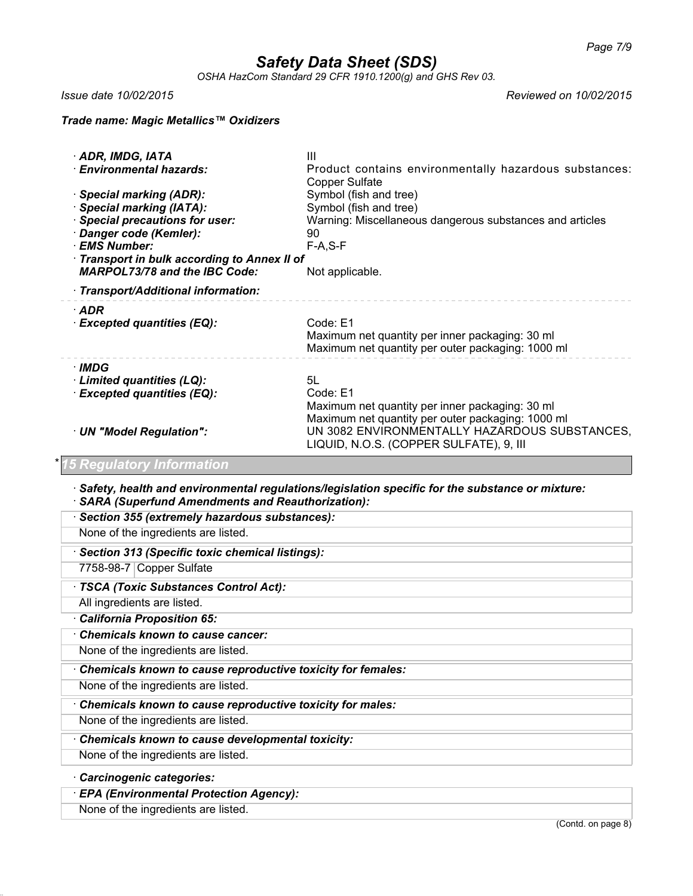*OSHA HazCom Standard 29 CFR 1910.1200(g) and GHS Rev 03.*

*Issue date 10/02/2015 Reviewed on 10/02/2015*

#### *Trade name: Magic Metallics™ Oxidizers*

| · ADR, IMDG, IATA<br>· Environmental hazards:<br>· Special marking (ADR):<br><b>Special marking (IATA):</b><br>Special precautions for user:<br>Danger code (Kemler):<br>· EMS Number:<br>Transport in bulk according to Annex II of<br><b>MARPOL73/78 and the IBC Code:</b><br>· Transport/Additional information: | Ш<br>Product contains environmentally hazardous substances:<br><b>Copper Sulfate</b><br>Symbol (fish and tree)<br>Symbol (fish and tree)<br>Warning: Miscellaneous dangerous substances and articles<br>90<br>$F-A, S-F$<br>Not applicable. |  |
|---------------------------------------------------------------------------------------------------------------------------------------------------------------------------------------------------------------------------------------------------------------------------------------------------------------------|---------------------------------------------------------------------------------------------------------------------------------------------------------------------------------------------------------------------------------------------|--|
| $\cdot$ ADR<br><b>Excepted quantities (EQ):</b>                                                                                                                                                                                                                                                                     | Code: E1<br>Maximum net quantity per inner packaging: 30 ml<br>Maximum net quantity per outer packaging: 1000 ml                                                                                                                            |  |
| · IMDG<br>· Limited quantities (LQ):<br>· Excepted quantities (EQ):<br>· UN "Model Regulation":                                                                                                                                                                                                                     | 5L<br>Code: E1<br>Maximum net quantity per inner packaging: 30 ml<br>Maximum net quantity per outer packaging: 1000 ml<br>UN 3082 ENVIRONMENTALLY HAZARDOUS SUBSTANCES,<br>LIQUID, N.O.S. (COPPER SULFATE), 9, III                          |  |
| <b>5 Regulatory Information</b>                                                                                                                                                                                                                                                                                     |                                                                                                                                                                                                                                             |  |
| <b>SARA (Superfund Amendments and Reauthorization):</b>                                                                                                                                                                                                                                                             | Safety, health and environmental regulations/legislation specific for the substance or mixture:                                                                                                                                             |  |
| · Section 355 (extremely hazardous substances):                                                                                                                                                                                                                                                                     |                                                                                                                                                                                                                                             |  |
| None of the ingredients are listed.                                                                                                                                                                                                                                                                                 |                                                                                                                                                                                                                                             |  |
| · Section 313 (Specific toxic chemical listings):                                                                                                                                                                                                                                                                   |                                                                                                                                                                                                                                             |  |
| 7758-98-7 Copper Sulfate                                                                                                                                                                                                                                                                                            |                                                                                                                                                                                                                                             |  |
| · TSCA (Toxic Substances Control Act):                                                                                                                                                                                                                                                                              |                                                                                                                                                                                                                                             |  |
| All ingredients are listed.                                                                                                                                                                                                                                                                                         |                                                                                                                                                                                                                                             |  |
| · California Proposition 65:                                                                                                                                                                                                                                                                                        |                                                                                                                                                                                                                                             |  |
| Chemicals known to cause cancer:                                                                                                                                                                                                                                                                                    |                                                                                                                                                                                                                                             |  |
| None of the ingredients are listed.                                                                                                                                                                                                                                                                                 |                                                                                                                                                                                                                                             |  |
|                                                                                                                                                                                                                                                                                                                     | Chemicals known to cause reproductive toxicity for females:                                                                                                                                                                                 |  |
| None of the ingredients are listed.                                                                                                                                                                                                                                                                                 |                                                                                                                                                                                                                                             |  |

· *Chemicals known to cause reproductive toxicity for males:*

None of the ingredients are listed.

· *Chemicals known to cause developmental toxicity:*

None of the ingredients are listed.

## · *Carcinogenic categories:*

· *EPA (Environmental Protection Agency):*

None of the ingredients are listed.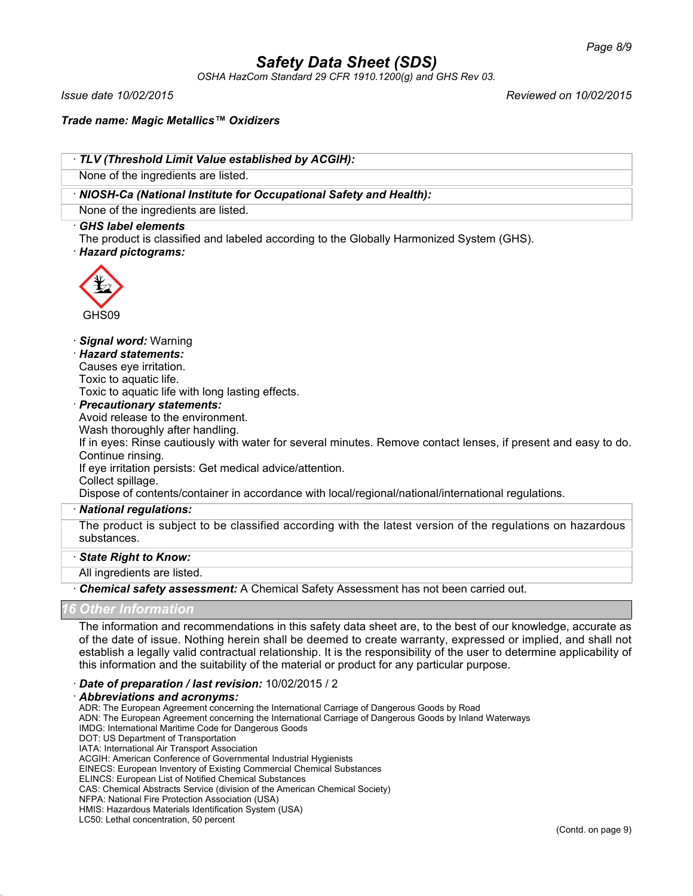*OSHA HazCom Standard 29 CFR 1910.1200(g) and GHS Rev 03.*

*Issue date 10/02/2015 Reviewed on 10/02/2015*

*Trade name: Magic Metallics™ Oxidizers*

| TLV (Threshold Limit Value established by ACGIH):                                                                                                                                                                                                                                                                                                                                                                                                                                                                                                                                                     |
|-------------------------------------------------------------------------------------------------------------------------------------------------------------------------------------------------------------------------------------------------------------------------------------------------------------------------------------------------------------------------------------------------------------------------------------------------------------------------------------------------------------------------------------------------------------------------------------------------------|
| None of the ingredients are listed.                                                                                                                                                                                                                                                                                                                                                                                                                                                                                                                                                                   |
| · NIOSH-Ca (National Institute for Occupational Safety and Health):                                                                                                                                                                                                                                                                                                                                                                                                                                                                                                                                   |
| None of the ingredients are listed.                                                                                                                                                                                                                                                                                                                                                                                                                                                                                                                                                                   |
| <b>GHS label elements</b><br>The product is classified and labeled according to the Globally Harmonized System (GHS).<br>· Hazard pictograms:                                                                                                                                                                                                                                                                                                                                                                                                                                                         |
| GHS09                                                                                                                                                                                                                                                                                                                                                                                                                                                                                                                                                                                                 |
| Signal word: Warning<br><b>Hazard statements:</b><br>Causes eye irritation.<br>Toxic to aquatic life.<br>Toxic to aquatic life with long lasting effects.<br><b>Precautionary statements:</b><br>Avoid release to the environment.<br>Wash thoroughly after handling.<br>If in eyes: Rinse cautiously with water for several minutes. Remove contact lenses, if present and easy to do.<br>Continue rinsing.<br>If eye irritation persists: Get medical advice/attention.<br>Collect spillage.<br>Dispose of contents/container in accordance with local/regional/national/international regulations. |
| · National regulations:                                                                                                                                                                                                                                                                                                                                                                                                                                                                                                                                                                               |
| The product is subject to be classified according with the latest version of the regulations on hazardous<br>substances.                                                                                                                                                                                                                                                                                                                                                                                                                                                                              |
| · State Right to Know:                                                                                                                                                                                                                                                                                                                                                                                                                                                                                                                                                                                |
| All ingredients are listed.                                                                                                                                                                                                                                                                                                                                                                                                                                                                                                                                                                           |
| · Chemical safety assessment: A Chemical Safety Assessment has not been carried out.                                                                                                                                                                                                                                                                                                                                                                                                                                                                                                                  |
| <b>Other Information</b>                                                                                                                                                                                                                                                                                                                                                                                                                                                                                                                                                                              |
| The information and recommendations in this safety data sheet are, to the best of our knowledge, accurate as<br>of the date of issue. Nothing herein shall be deemed to create warranty, expressed or implied, and shall not<br>establish a legally valid contractual relationship. It is the responsibility of the user to determine applicability of<br>this information and the suitability of the material or product for any particular purpose.                                                                                                                                                 |
| Date of preparation / last revision: 10/02/2015 / 2                                                                                                                                                                                                                                                                                                                                                                                                                                                                                                                                                   |

· *Abbreviations and acronyms:*

ADR: The European Agreement concerning the International Carriage of Dangerous Goods by Road

ADN: The European Agreement concerning the International Carriage of Dangerous Goods by Inland Waterways

- IMDG: International Maritime Code for Dangerous Goods DOT: US Department of Transportation
- IATA: International Air Transport Association

ACGIH: American Conference of Governmental Industrial Hygienists

EINECS: European Inventory of Existing Commercial Chemical Substances

ELINCS: European List of Notified Chemical Substances

CAS: Chemical Abstracts Service (division of the American Chemical Society)

NFPA: National Fire Protection Association (USA)

HMIS: Hazardous Materials Identification System (USA)

LC50: Lethal concentration, 50 percent